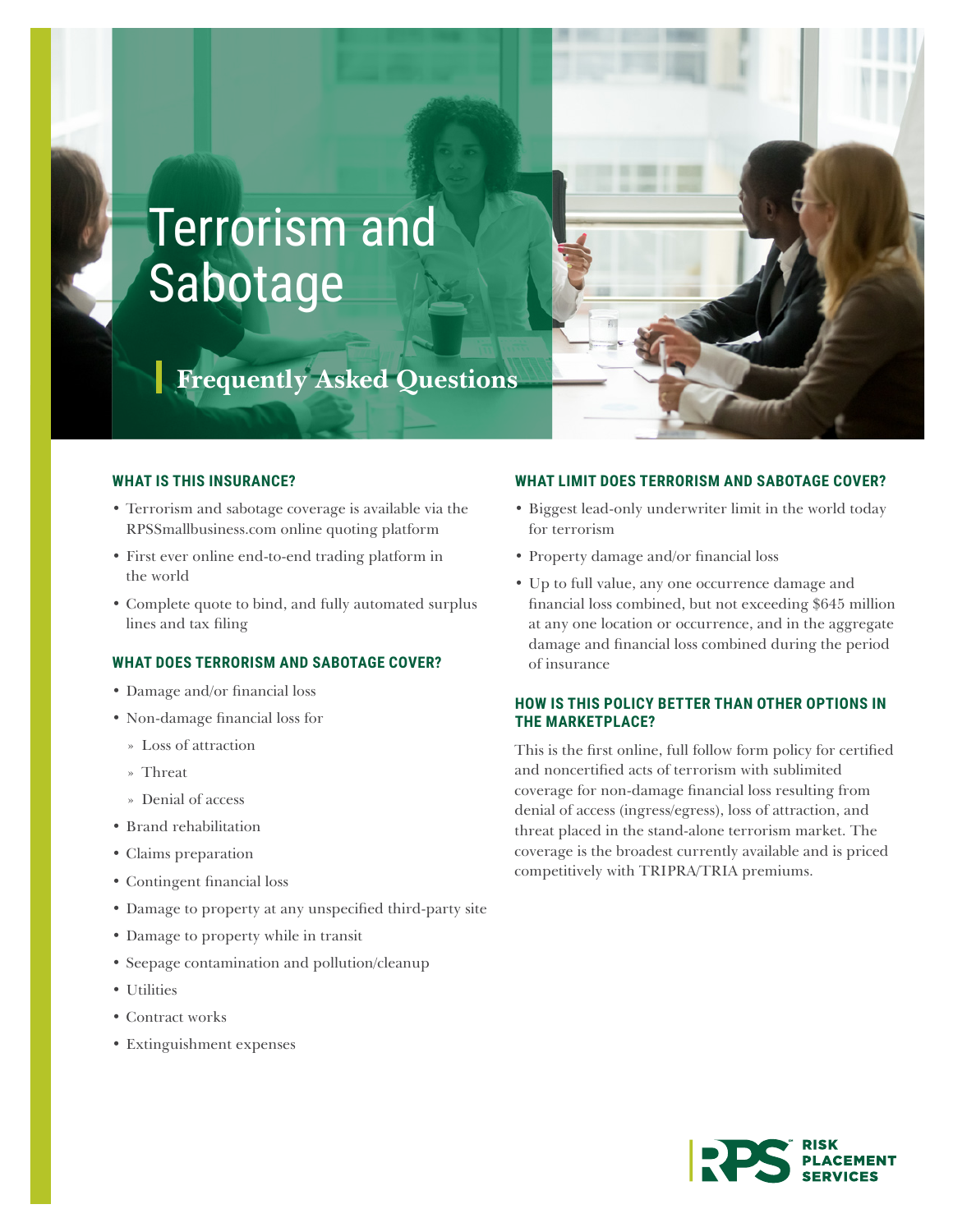# Terrorism and Sabotage

# **Frequently Asked Questions**

### **WHAT IS THIS INSURANCE?**

- Terrorism and sabotage coverage is available via the [RPSSmallbusiness.com](http://www.RPSSmallbusiness.com) online quoting platform
- First ever online end-to-end trading platform in the world
- Complete quote to bind, and fully automated surplus lines and tax filing

# **WHAT DOES TERRORISM AND SABOTAGE COVER?**

- Damage and/or financial loss
- Non-damage financial loss for
	- » Loss of attraction
	- » Threat
	- » Denial of access
- Brand rehabilitation
- Claims preparation
- Contingent financial loss
- Damage to property at any unspecified third-party site
- Damage to property while in transit
- Seepage contamination and pollution/cleanup
- Utilities
- Contract works
- Extinguishment expenses

#### **WHAT LIMIT DOES TERRORISM AND SABOTAGE COVER?**

- Biggest lead-only underwriter limit in the world today for terrorism
- Property damage and/or financial loss
- Up to full value, any one occurrence damage and financial loss combined, but not exceeding \$645 million at any one location or occurrence, and in the aggregate damage and financial loss combined during the period of insurance

# **HOW IS THIS POLICY BETTER THAN OTHER OPTIONS IN THE MARKETPLACE?**

This is the first online, full follow form policy for certified and noncertified acts of terrorism with sublimited coverage for non-damage financial loss resulting from denial of access (ingress/egress), loss of attraction, and threat placed in the stand-alone terrorism market. The coverage is the broadest currently available and is priced competitively with TRIPRA/TRIA premiums.